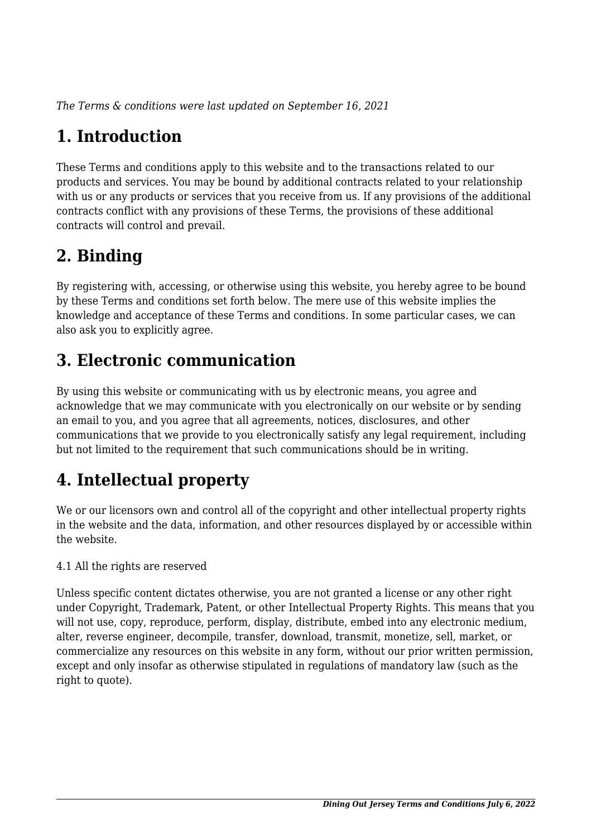*The Terms & conditions were last updated on September 16, 2021*

# **1. Introduction**

These Terms and conditions apply to this website and to the transactions related to our products and services. You may be bound by additional contracts related to your relationship with us or any products or services that you receive from us. If any provisions of the additional contracts conflict with any provisions of these Terms, the provisions of these additional contracts will control and prevail.

# **2. Binding**

By registering with, accessing, or otherwise using this website, you hereby agree to be bound by these Terms and conditions set forth below. The mere use of this website implies the knowledge and acceptance of these Terms and conditions. In some particular cases, we can also ask you to explicitly agree.

# **3. Electronic communication**

By using this website or communicating with us by electronic means, you agree and acknowledge that we may communicate with you electronically on our website or by sending an email to you, and you agree that all agreements, notices, disclosures, and other communications that we provide to you electronically satisfy any legal requirement, including but not limited to the requirement that such communications should be in writing.

# **4. Intellectual property**

We or our licensors own and control all of the copyright and other intellectual property rights in the website and the data, information, and other resources displayed by or accessible within the website.

4.1 All the rights are reserved

Unless specific content dictates otherwise, you are not granted a license or any other right under Copyright, Trademark, Patent, or other Intellectual Property Rights. This means that you will not use, copy, reproduce, perform, display, distribute, embed into any electronic medium, alter, reverse engineer, decompile, transfer, download, transmit, monetize, sell, market, or commercialize any resources on this website in any form, without our prior written permission, except and only insofar as otherwise stipulated in regulations of mandatory law (such as the right to quote).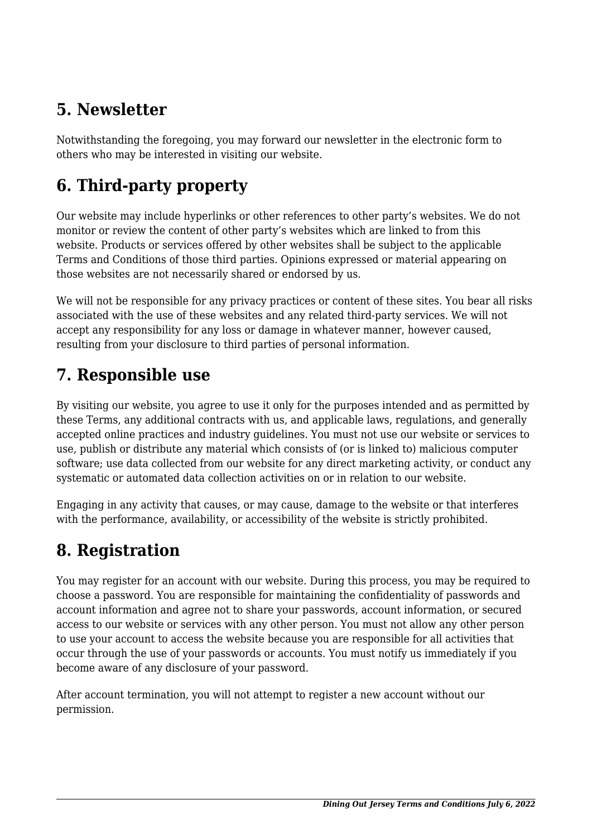## **5. Newsletter**

Notwithstanding the foregoing, you may forward our newsletter in the electronic form to others who may be interested in visiting our website.

# **6. Third-party property**

Our website may include hyperlinks or other references to other party's websites. We do not monitor or review the content of other party's websites which are linked to from this website. Products or services offered by other websites shall be subject to the applicable Terms and Conditions of those third parties. Opinions expressed or material appearing on those websites are not necessarily shared or endorsed by us.

We will not be responsible for any privacy practices or content of these sites. You bear all risks associated with the use of these websites and any related third-party services. We will not accept any responsibility for any loss or damage in whatever manner, however caused, resulting from your disclosure to third parties of personal information.

### **7. Responsible use**

By visiting our website, you agree to use it only for the purposes intended and as permitted by these Terms, any additional contracts with us, and applicable laws, regulations, and generally accepted online practices and industry guidelines. You must not use our website or services to use, publish or distribute any material which consists of (or is linked to) malicious computer software; use data collected from our website for any direct marketing activity, or conduct any systematic or automated data collection activities on or in relation to our website.

Engaging in any activity that causes, or may cause, damage to the website or that interferes with the performance, availability, or accessibility of the website is strictly prohibited.

# **8. Registration**

You may register for an account with our website. During this process, you may be required to choose a password. You are responsible for maintaining the confidentiality of passwords and account information and agree not to share your passwords, account information, or secured access to our website or services with any other person. You must not allow any other person to use your account to access the website because you are responsible for all activities that occur through the use of your passwords or accounts. You must notify us immediately if you become aware of any disclosure of your password.

After account termination, you will not attempt to register a new account without our permission.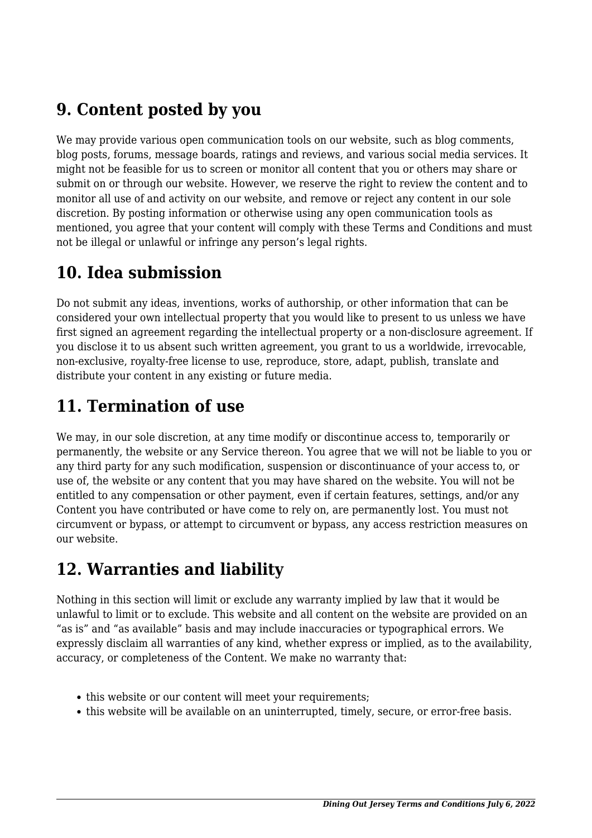### **9. Content posted by you**

We may provide various open communication tools on our website, such as blog comments, blog posts, forums, message boards, ratings and reviews, and various social media services. It might not be feasible for us to screen or monitor all content that you or others may share or submit on or through our website. However, we reserve the right to review the content and to monitor all use of and activity on our website, and remove or reject any content in our sole discretion. By posting information or otherwise using any open communication tools as mentioned, you agree that your content will comply with these Terms and Conditions and must not be illegal or unlawful or infringe any person's legal rights.

### **10. Idea submission**

Do not submit any ideas, inventions, works of authorship, or other information that can be considered your own intellectual property that you would like to present to us unless we have first signed an agreement regarding the intellectual property or a non-disclosure agreement. If you disclose it to us absent such written agreement, you grant to us a worldwide, irrevocable, non-exclusive, royalty-free license to use, reproduce, store, adapt, publish, translate and distribute your content in any existing or future media.

# **11. Termination of use**

We may, in our sole discretion, at any time modify or discontinue access to, temporarily or permanently, the website or any Service thereon. You agree that we will not be liable to you or any third party for any such modification, suspension or discontinuance of your access to, or use of, the website or any content that you may have shared on the website. You will not be entitled to any compensation or other payment, even if certain features, settings, and/or any Content you have contributed or have come to rely on, are permanently lost. You must not circumvent or bypass, or attempt to circumvent or bypass, any access restriction measures on our website.

### **12. Warranties and liability**

Nothing in this section will limit or exclude any warranty implied by law that it would be unlawful to limit or to exclude. This website and all content on the website are provided on an "as is" and "as available" basis and may include inaccuracies or typographical errors. We expressly disclaim all warranties of any kind, whether express or implied, as to the availability, accuracy, or completeness of the Content. We make no warranty that:

- this website or our content will meet your requirements;
- this website will be available on an uninterrupted, timely, secure, or error-free basis.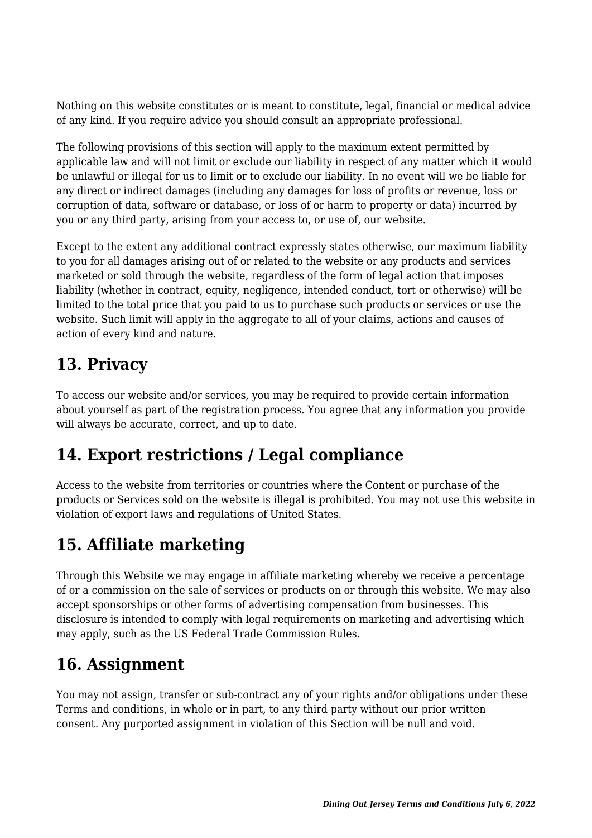Nothing on this website constitutes or is meant to constitute, legal, financial or medical advice of any kind. If you require advice you should consult an appropriate professional.

The following provisions of this section will apply to the maximum extent permitted by applicable law and will not limit or exclude our liability in respect of any matter which it would be unlawful or illegal for us to limit or to exclude our liability. In no event will we be liable for any direct or indirect damages (including any damages for loss of profits or revenue, loss or corruption of data, software or database, or loss of or harm to property or data) incurred by you or any third party, arising from your access to, or use of, our website.

Except to the extent any additional contract expressly states otherwise, our maximum liability to you for all damages arising out of or related to the website or any products and services marketed or sold through the website, regardless of the form of legal action that imposes liability (whether in contract, equity, negligence, intended conduct, tort or otherwise) will be limited to the total price that you paid to us to purchase such products or services or use the website. Such limit will apply in the aggregate to all of your claims, actions and causes of action of every kind and nature.

### **13. Privacy**

To access our website and/or services, you may be required to provide certain information about yourself as part of the registration process. You agree that any information you provide will always be accurate, correct, and up to date.

# **14. Export restrictions / Legal compliance**

Access to the website from territories or countries where the Content or purchase of the products or Services sold on the website is illegal is prohibited. You may not use this website in violation of export laws and regulations of United States.

# **15. Affiliate marketing**

Through this Website we may engage in affiliate marketing whereby we receive a percentage of or a commission on the sale of services or products on or through this website. We may also accept sponsorships or other forms of advertising compensation from businesses. This disclosure is intended to comply with legal requirements on marketing and advertising which may apply, such as the US Federal Trade Commission Rules.

### **16. Assignment**

You may not assign, transfer or sub-contract any of your rights and/or obligations under these Terms and conditions, in whole or in part, to any third party without our prior written consent. Any purported assignment in violation of this Section will be null and void.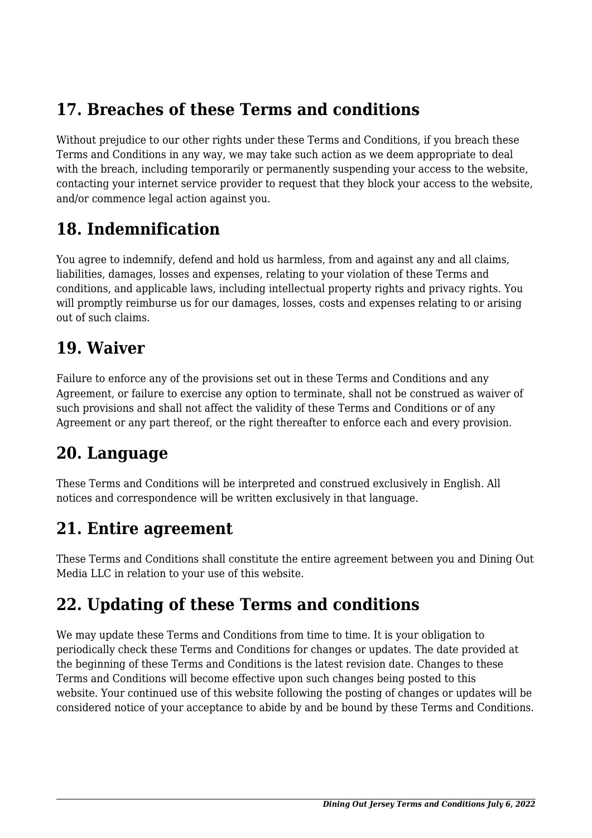### **17. Breaches of these Terms and conditions**

Without prejudice to our other rights under these Terms and Conditions, if you breach these Terms and Conditions in any way, we may take such action as we deem appropriate to deal with the breach, including temporarily or permanently suspending your access to the website, contacting your internet service provider to request that they block your access to the website, and/or commence legal action against you.

### **18. Indemnification**

You agree to indemnify, defend and hold us harmless, from and against any and all claims, liabilities, damages, losses and expenses, relating to your violation of these Terms and conditions, and applicable laws, including intellectual property rights and privacy rights. You will promptly reimburse us for our damages, losses, costs and expenses relating to or arising out of such claims.

### **19. Waiver**

Failure to enforce any of the provisions set out in these Terms and Conditions and any Agreement, or failure to exercise any option to terminate, shall not be construed as waiver of such provisions and shall not affect the validity of these Terms and Conditions or of any Agreement or any part thereof, or the right thereafter to enforce each and every provision.

### **20. Language**

These Terms and Conditions will be interpreted and construed exclusively in English. All notices and correspondence will be written exclusively in that language.

### **21. Entire agreement**

These Terms and Conditions shall constitute the entire agreement between you and Dining Out Media LLC in relation to your use of this website.

### **22. Updating of these Terms and conditions**

We may update these Terms and Conditions from time to time. It is your obligation to periodically check these Terms and Conditions for changes or updates. The date provided at the beginning of these Terms and Conditions is the latest revision date. Changes to these Terms and Conditions will become effective upon such changes being posted to this website. Your continued use of this website following the posting of changes or updates will be considered notice of your acceptance to abide by and be bound by these Terms and Conditions.